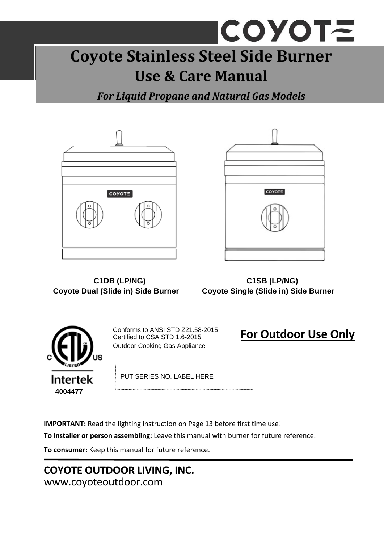# COYOTE **Coyote Stainless Steel Side Burner Use & Care Manual**

*For Liquid Propane and Natural Gas Models*





 **C1DB (LP/NG) C1SB (LP/NG) Coyote Dual (Slide in) Side Burner Coyote Single (Slide in) Side Burner** 



Conforms to ANSI STD Z21.58-2015 Certified to CSA STD 1.6-2015 Outdoor Cooking Gas Appliance

**For Outdoor Use Only**

PUT SERIES NO. LABEL HERE

**IMPORTANT:** Read the lighting instruction on Page 13 before first time use!

**To installer or person assembling:** Leave this manual with burner for future reference.

**To consumer:** Keep this manual for future reference.

### **COYOTE OUTDOOR LIVING, INC.** www.coyoteoutdoor.com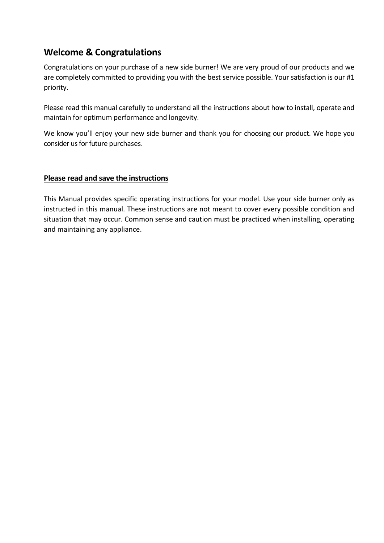### **Welcome & Congratulations**

Congratulations on your purchase of a new side burner! We are very proud of our products and we are completely committed to providing you with the best service possible. Your satisfaction is our #1 priority.

Please read this manual carefully to understand all the instructions about how to install, operate and maintain for optimum performance and longevity.

We know you'll enjoy your new side burner and thank you for choosing our product. We hope you consider us for future purchases.

#### **Please read and save the instructions**

This Manual provides specific operating instructions for your model. Use your side burner only as instructed in this manual. These instructions are not meant to cover every possible condition and situation that may occur. Common sense and caution must be practiced when installing, operating and maintaining any appliance.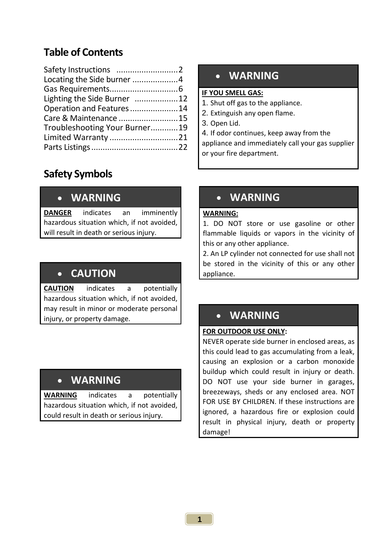### **Table of Contents**

| Locating the Side burner 4    |  |
|-------------------------------|--|
|                               |  |
| Lighting the Side Burner 12   |  |
| Operation and Features14      |  |
| Care & Maintenance 15         |  |
| Troubleshooting Your Burner19 |  |
| Limited Warranty 21           |  |
|                               |  |
|                               |  |

## **Safety Symbols**

### • **WARNING**

**DANGER** indicates an imminently hazardous situation which, if not avoided, will result in death or serious injury.

## • **CAUTION**

**CAUTION** indicates a potentially hazardous situation which, if not avoided, may result in minor or moderate personal injury, or property damage.

### • **WARNING**

**WARNING** indicates a potentially hazardous situation which, if not avoided, could result in death or serious injury.

### • **WARNING**

#### **IF YOU SMELL GAS:**

- 1. Shut off gas to the appliance.
- 2. Extinguish any open flame.
- 3. Open Lid.
- 4. If odor continues, keep away from the

or your life depa appliance and immediately call your gas supplier or your fire department.

### • **WARNING**

#### **WARNING:**

1. DO NOT store or use gasoline or other flammable liquids or vapors in the vicinity of this or any other appliance.

2. An LP cylinder not connected for use shall not be stored in the vicinity of this or any other appliance.

#### **FOR OUTDOOR USE ONLY:**

NEVER operate side burner in enclosed areas, as this could lead to gas accumulating from a leak, causing an explosion or a carbon monoxide buildup which could result in injury or death. DO NOT use your side burner in garages, breezeways, sheds or any enclosed area. NOT FOR USE BY CHILDREN. If these instructions are ignored, a hazardous fire or explosion could result in physical injury, death or property damage!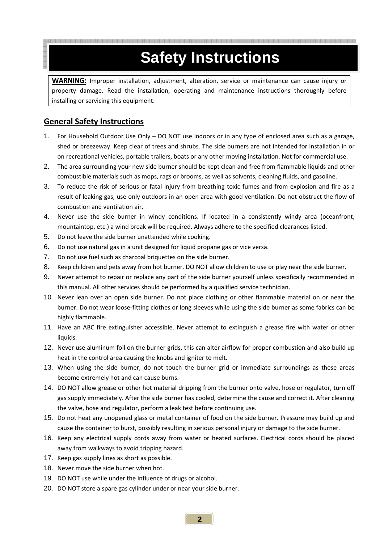## **Safety Instructions**

**WARNING:** Improper installation, adjustment, alteration, service or maintenance can cause injury or property damage. Read the installation, operating and maintenance instructions thoroughly before installing or servicing this equipment.

#### **General Safety Instructions**

- 1. For Household Outdoor Use Only DO NOT use indoors or in any type of enclosed area such as a garage, shed or breezeway. Keep clear of trees and shrubs. The side burners are not intended for installation in or on recreational vehicles, portable trailers, boats or any other moving installation. Not for commercial use.
- 2. The area surrounding your new side burner should be kept clean and free from flammable liquids and other combustible materials such as mops, rags or brooms, as well as solvents, cleaning fluids, and gasoline.
- 3. To reduce the risk of serious or fatal injury from breathing toxic fumes and from explosion and fire as a result of leaking gas, use only outdoors in an open area with good ventilation. Do not obstruct the flow of combustion and ventilation air.
- 4. Never use the side burner in windy conditions. If located in a consistently windy area (oceanfront, mountaintop, etc.) a wind break will be required. Always adhere to the specified clearances listed.
- 5. Do not leave the side burner unattended while cooking.
- 6. Do not use natural gas in a unit designed for liquid propane gas or vice versa.
- 7. Do not use fuel such as charcoal briquettes on the side burner.
- 8. Keep children and pets away from hot burner. DO NOT allow children to use or play near the side burner.
- 9. Never attempt to repair or replace any part of the side burner yourself unless specifically recommended in this manual. All other services should be performed by a qualified service technician.
- 10. Never lean over an open side burner. Do not place clothing or other flammable material on or near the burner. Do not wear loose‐fitting clothes or long sleeves while using the side burner as some fabrics can be highly flammable.
- 11. Have an ABC fire extinguisher accessible. Never attempt to extinguish a grease fire with water or other liquids.
- 12. Never use aluminum foil on the burner grids, this can alter airflow for proper combustion and also build up heat in the control area causing the knobs and igniter to melt.
- 13. When using the side burner, do not touch the burner grid or immediate surroundings as these areas become extremely hot and can cause burns.
- 14. DO NOT allow grease or other hot material dripping from the burner onto valve, hose or regulator, turn off gas supply immediately. After the side burner has cooled, determine the cause and correct it. After cleaning the valve, hose and regulator, perform a leak test before continuing use.
- 15. Do not heat any unopened glass or metal container of food on the side burner. Pressure may build up and cause the container to burst, possibly resulting in serious personal injury or damage to the side burner.
- 16. Keep any electrical supply cords away from water or heated surfaces. Electrical cords should be placed away from walkways to avoid tripping hazard.
- 17. Keep gas supply lines as short as possible.
- 18. Never move the side burner when hot.
- 19. DO NOT use while under the influence of drugs or alcohol.
- 20. DO NOT store a spare gas cylinder under or near your side burner.

**2**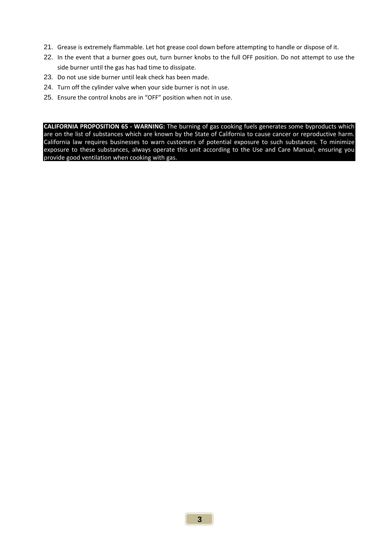- 21. Grease is extremely flammable. Let hot grease cool down before attempting to handle or dispose of it.
- 22. In the event that a burner goes out, turn burner knobs to the full OFF position. Do not attempt to use the side burner until the gas has had time to dissipate.
- 23. Do not use side burner until leak check has been made.
- 24. Turn off the cylinder valve when your side burner is not in use.
- 25. Ensure the control knobs are in "OFF" position when not in use.

**CALIFORNIA PROPOSITION 65 ‐ WARNING:** The burning of gas cooking fuels generates some byproducts which are on the list of substances which are known by the State of California to cause cancer or reproductive harm. California law requires businesses to warn customers of potential exposure to such substances. To minimize exposure to these substances, always operate this unit according to the Use and Care Manual, ensuring you provide good ventilation when cooking with gas.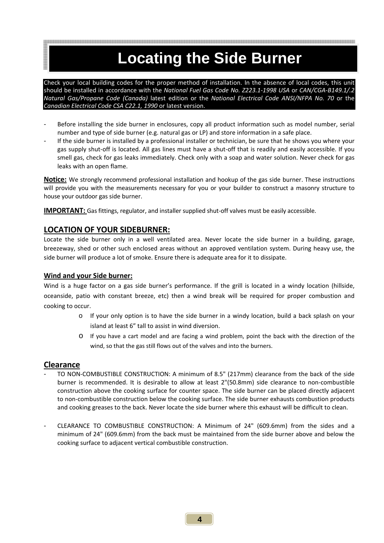## **Locating the Side Burner**

Check your local building codes for the proper method of installation. In the absence of local codes, this unit should be installed in accordance with the *National Fuel Gas Code No. Z223.1‐1998 USA* or *CAN/CGA‐B149.1/.2 Natural Gas/Propane Code (Canada)* latest edition or the *National Electrical Code ANSI/NFPA No. 70* or the *Canadian Electrical Code CSA C22.1, 1990* or latest version.

- Before installing the side burner in enclosures, copy all product information such as model number, serial number and type of side burner (e.g. natural gas or LP) and store information in a safe place.
- If the side burner is installed by a professional installer or technician, be sure that he shows you where your gas supply shut‐off is located. All gas lines must have a shut‐off that is readily and easily accessible. If you smell gas, check for gas leaks immediately. Check only with a soap and water solution. Never check for gas leaks with an open flame.

**Notice:** We strongly recommend professional installation and hookup of the gas side burner. These instructions will provide you with the measurements necessary for you or your builder to construct a masonry structure to house your outdoor gas side burner.

**IMPORTANT:** Gas fittings, regulator, and installer supplied shut-off valves must be easily accessible.

#### **LOCATION OF YOUR SIDEBURNER:**

Locate the side burner only in a well ventilated area. Never locate the side burner in a building, garage, breezeway, shed or other such enclosed areas without an approved ventilation system. During heavy use, the side burner will produce a lot of smoke. Ensure there is adequate area for it to dissipate.

#### **Wind and your Side burner:**

Wind is a huge factor on a gas side burner's performance. If the grill is located in a windy location (hillside, oceanside, patio with constant breeze, etc) then a wind break will be required for proper combustion and cooking to occur.

- o If your only option is to have the side burner in a windy location, build a back splash on your island at least 6" tall to assist in wind diversion.
- o If you have a cart model and are facing a wind problem, point the back with the direction of the wind, so that the gas still flows out of the valves and into the burners.

#### **Clearance**

- TO NON-COMBUSTIBLE CONSTRUCTION: A minimum of 8.5" (217mm) clearance from the back of the side burner is recommended. It is desirable to allow at least 2"(50.8mm) side clearance to non‐combustible construction above the cooking surface for counter space. The side burner can be placed directly adjacent to non‐combustible construction below the cooking surface. The side burner exhausts combustion products and cooking greases to the back. Never locate the side burner where this exhaust will be difficult to clean.
- CLEARANCE TO COMBUSTIBLE CONSTRUCTION: A Minimum of 24" (609.6mm) from the sides and a minimum of 24" (609.6mm) from the back must be maintained from the side burner above and below the cooking surface to adjacent vertical combustible construction.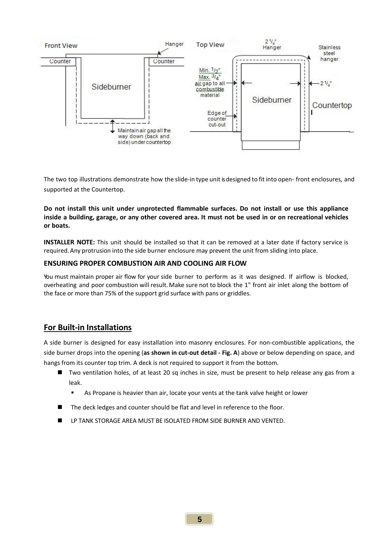

The two top illustrations demonstrate how the slide‐in type unit isdesigned to fit into open‐ front enclosures, and supported at the Countertop.

**Do not install this unit under unprotected flammable surfaces. Do not install or use this appliance** inside a building, garage, or any other covered area. It must not be used in or on recreational vehicles **or boats.**

**INSTALLER NOTE:** This unit should be installed so that it can be removed at a later date if factory service is required.Any protrusion into the side burner enclosure may prevent the unit from sliding into place.

#### **ENSURING PROPER COMBUSTION AIR AND COOLING AIR FLOW**

You must maintain proper air flow for your side burner to perform as it was designed. If airflow is blocked, overheating and poor combustion will result. Make sure not to block the 1" front air inlet along the bottom of the face or more than 75% of the support grid surface with pans or griddles.

#### **For Built‐in Installations**

A side burner is designed for easy installation into masonry enclosures. For non‐combustible applications, the side burner drops into the opening (**as shown in cut‐out detail ‐ Fig. A**) above or below depending on space, and hangs from its counter top trim. A deck is not required to support it from the bottom.

- Two ventilation holes, of at least 20 sq inches in size, must be present to help release any gas from a leak.
	- As Propane is heavier than air, locate your vents at the tank valve height or lower
- The deck ledges and counter should be flat and level in reference to the floor.
- **LP TANK STORAGE AREA MUST BE ISOLATED FROM SIDE BURNER AND VENTED.**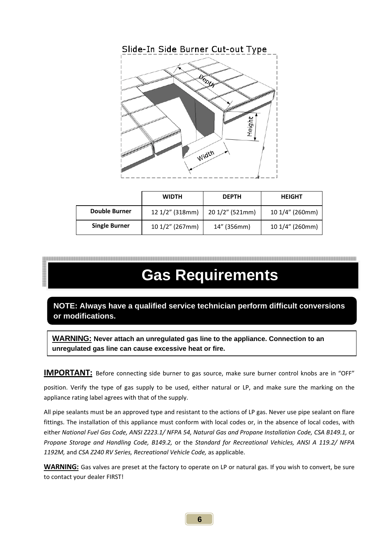

|                      | <b>WIDTH</b>    | <b>DEPTH</b>    | <b>HEIGHT</b>   |  |
|----------------------|-----------------|-----------------|-----------------|--|
| <b>Double Burner</b> | 12 1/2" (318mm) | 20 1/2" (521mm) | 10 1/4" (260mm) |  |
| <b>Single Burner</b> | 10 1/2" (267mm) | 14" (356mm)     | 10 1/4" (260mm) |  |

## **Gas Requirements**

**NOTE: Always have a qualified service technician perform difficult conversions or modifications.** 

**WARNING: Never attach an unregulated gas line to the appliance. Connection to an unregulated gas line can cause excessive heat or fire.**

**IMPORTANT:** Before connecting side burner to gas source, make sure burner control knobs are in "OFF"

position. Verify the type of gas supply to be used, either natural or LP, and make sure the marking on the appliance rating label agrees with that of the supply.

All pipe sealants must be an approved type and resistant to the actions of LP gas. Never use pipe sealant on flare fittings. The installation of this appliance must conform with local codes or, in the absence of local codes, with either *National Fuel Gas Code, ANSI Z223.1/ NFPA 54, Natural Gas and Propane Installation Code, CSA B149.1,* or *Propane Storage and Handling Code, B149.2,* or the *Standard for Recreational Vehicles, ANSI A 119.2/ NFPA 1192M,* and *CSA Z240 RV Series, Recreational Vehicle Code,* as applicable.

**WARNING:** Gas valves are preset at the factory to operate on LP or natural gas. If you wish to convert, be sure to contact your dealer FIRST!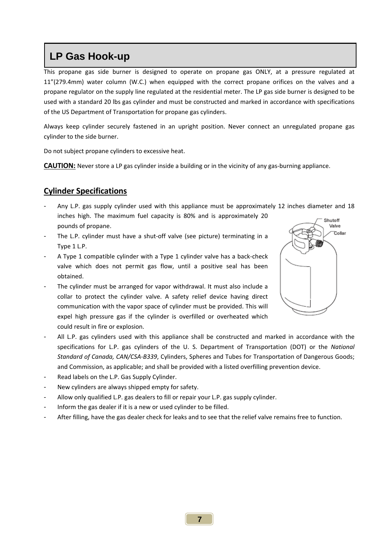## **LP Gas Hook-up**

This propane gas side burner is designed to operate on propane gas ONLY, at a pressure regulated at 11"(279.4mm) water column (W.C.) when equipped with the correct propane orifices on the valves and a propane regulator on the supply line regulated at the residential meter. The LP gas side burner is designed to be used with a standard 20 lbs gas cylinder and must be constructed and marked in accordance with specifications of the US Department of Transportation for propane gas cylinders.

Always keep cylinder securely fastened in an upright position. Never connect an unregulated propane gas cylinder to the side burner.

Do not subject propane cylinders to excessive heat.

**CAUTION:** Never store a LP gas cylinder inside a building or in the vicinity of any gas-burning appliance.

#### **Cylinder Specifications**

- Any L.P. gas supply cylinder used with this appliance must be approximately 12 inches diameter and 18 inches high. The maximum fuel capacity is 80% and is approximately 20 Shutoff pounds of propane.
- The L.P. cylinder must have a shut-off valve (see picture) terminating in a Type 1 L.P.
- A Type 1 compatible cylinder with a Type 1 cylinder valve has a back‐check valve which does not permit gas flow, until a positive seal has been obtained.
- The cylinder must be arranged for vapor withdrawal. It must also include a collar to protect the cylinder valve. A safety relief device having direct communication with the vapor space of cylinder must be provided. This will expel high pressure gas if the cylinder is overfilled or overheated which could result in fire or explosion.
- All L.P. gas cylinders used with this appliance shall be constructed and marked in accordance with the specifications for L.P. gas cylinders of the U. S. Department of Transportation (DOT) or the *National Standard of Canada, CAN/CSA‐B339*, Cylinders, Spheres and Tubes for Transportation of Dangerous Goods; and Commission, as applicable; and shall be provided with a listed overfilling prevention device.
- Read labels on the L.P. Gas Supply Cylinder.
- New cylinders are always shipped empty for safety.
- Allow only qualified L.P. gas dealers to fill or repair your L.P. gas supply cylinder.
- Inform the gas dealer if it is a new or used cylinder to be filled.
- After filling, have the gas dealer check for leaks and to see that the relief valve remains free to function.

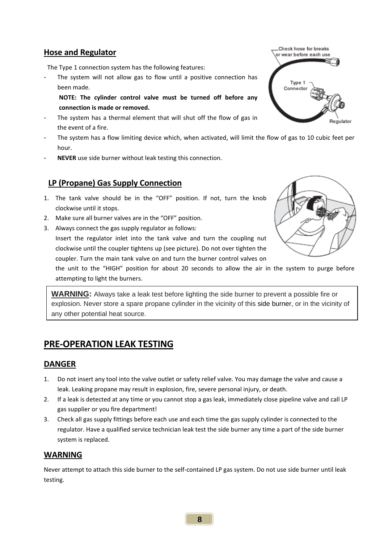#### **Hose and Regulator**

The Type 1 connection system has the following features:

- The system will not allow gas to flow until a positive connection has been made.
	- **NOTE: The cylinder control valve must be turned off before any connection is made or removed.**
- The system has a thermal element that will shut off the flow of gas in the event of a fire.
- The system has a flow limiting device which, when activated, will limit the flow of gas to 10 cubic feet per hour.
- **NEVER** use side burner without leak testing this connection.

#### **LP (Propane) Gas Supply Connection**

- 1. The tank valve should be in the "OFF" position. If not, turn the knob clockwise until it stops.
- 2. Make sure all burner valves are in the "OFF" position.
- 3. Always connect the gas supply regulator as follows:

Insert the regulator inlet into the tank valve and turn the coupling nut clockwise until the coupler tightens up (see picture). Do not over tighten the coupler. Turn the main tank valve on and turn the burner control valves on

the unit to the "HIGH" position for about 20 seconds to allow the air in the system to purge before attempting to light the burners.

**WARNING:** Always take a leak test before lighting the side burner to prevent a possible fire or explosion. Never store a spare propane cylinder in the vicinity of this side burner, or in the vicinity of any other potential heat source.

### **PRE‐OPERATION LEAK TESTING**

#### **DANGER**

- 1. Do not insert any tool into the valve outlet or safety relief valve. You may damage the valve and cause a leak. Leaking propane may result in explosion, fire, severe personal injury, or death.
- 2. If a leak is detected at any time or you cannot stop a gas leak, immediately close pipeline valve and call LP gas supplier or you fire department!
- 3. Check all gas supply fittings before each use and each time the gas supply cylinder is connected to the regulator. Have a qualified service technician leak test the side burner any time a part of the side burner system is replaced.

#### **WARNING**

Never attempt to attach this side burner to the self‐contained LP gas system. Do not use side burner until leak testing.



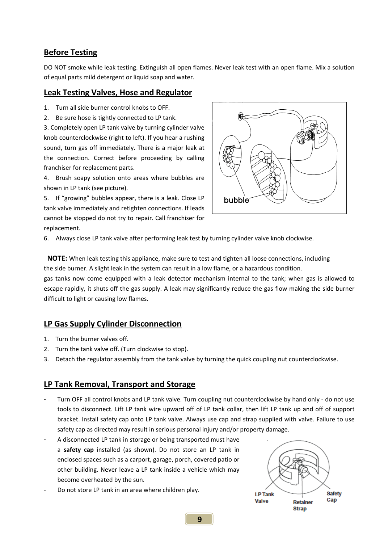#### **Before Testing**

DO NOT smoke while leak testing. Extinguish all open flames. Never leak test with an open flame. Mix a solution of equal parts mild detergent or liquid soap and water.

#### **Leak Testing Valves, Hose and Regulator**

- 1. Turn all side burner control knobs to OFF.
- 2. Be sure hose is tightly connected to LP tank.

3. Completely open LP tank valve by turning cylinder valve knob counterclockwise (right to left). If you hear a rushing sound, turn gas off immediately. There is a major leak at the connection. Correct before proceeding by calling franchiser for replacement parts.

4. Brush soapy solution onto areas where bubbles are shown in LP tank (see picture).

5. If "growing" bubbles appear, there is a leak. Close LP tank valve immediately and retighten connections. If leads cannot be stopped do not try to repair. Call franchiser for replacement.



6. Always close LP tank valve after performing leak test by turning cylinder valve knob clockwise.

**NOTE:** When leak testing this appliance, make sure to test and tighten all loose connections, including the side burner. A slight leak in the system can result in a low flame, or a hazardous condition.

gas tanks now come equipped with a leak detector mechanism internal to the tank; when gas is allowed to escape rapidly, it shuts off the gas supply. A leak may significantly reduce the gas flow making the side burner difficult to light or causing low flames.

#### **LP Gas Supply Cylinder Disconnection**

- 1. Turn the burner valves off.
- 2. Turn the tank valve off. (Turn clockwise to stop).
- 3. Detach the regulator assembly from the tank valve by turning the quick coupling nut counterclockwise.

#### **LP Tank Removal, Transport and Storage**

- Turn OFF all control knobs and LP tank valve. Turn coupling nut counterclockwise by hand only ‐ do not use tools to disconnect. Lift LP tank wire upward off of LP tank collar, then lift LP tank up and off of support bracket. Install safety cap onto LP tank valve. Always use cap and strap supplied with valve. Failure to use safety cap as directed may result in serious personal injury and/or property damage.
- A disconnected LP tank in storage or being transported must have a **safety cap** installed (as shown). Do not store an LP tank in enclosed spaces such as a carport, garage, porch, covered patio or other building. Never leave a LP tank inside a vehicle which may become overheated by the sun.
- Do not store LP tank in an area where children play.

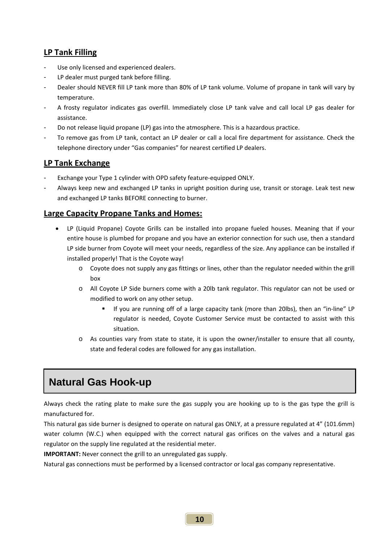#### **LP Tank Filling**

- Use only licensed and experienced dealers.
- LP dealer must purged tank before filling.
- Dealer should NEVER fill LP tank more than 80% of LP tank volume. Volume of propane in tank will vary by temperature.
- A frosty regulator indicates gas overfill. Immediately close LP tank valve and call local LP gas dealer for assistance.
- Do not release liquid propane (LP) gas into the atmosphere. This is a hazardous practice.
- To remove gas from LP tank, contact an LP dealer or call a local fire department for assistance. Check the telephone directory under "Gas companies" for nearest certified LP dealers.

#### **LP Tank Exchange**

- Exchange your Type 1 cylinder with OPD safety feature‐equipped ONLY.
- Always keep new and exchanged LP tanks in upright position during use, transit or storage. Leak test new and exchanged LP tanks BEFORE connecting to burner.

#### **Large Capacity Propane Tanks and Homes:**

- LP (Liquid Propane) Coyote Grills can be installed into propane fueled houses. Meaning that if your entire house is plumbed for propane and you have an exterior connection for such use, then a standard LP side burner from Coyote will meet your needs, regardless of the size. Any appliance can be installed if installed properly! That is the Coyote way!
	- o Coyote does not supply any gas fittings or lines, other than the regulator needed within the grill box
	- o All Coyote LP Side burners come with a 20lb tank regulator. This regulator can not be used or modified to work on any other setup.
		- If you are running off of a large capacity tank (more than 20lbs), then an "in-line" LP regulator is needed, Coyote Customer Service must be contacted to assist with this situation.
	- o As counties vary from state to state, it is upon the owner/installer to ensure that all county, state and federal codes are followed for any gas installation.

## - **Natural Gas Hook-up**

Always check the rating plate to make sure the gas supply you are hooking up to is the gas type the grill is manufactured for.

This natural gas side burner is designed to operate on natural gas ONLY, at a pressure regulated at 4" (101.6mm) water column (W.C.) when equipped with the correct natural gas orifices on the valves and a natural gas regulator on the supply line regulated at the residential meter.

**IMPORTANT:** Never connect the grill to an unregulated gas supply.

Natural gas connections must be performed by a licensed contractor or local gas company representative.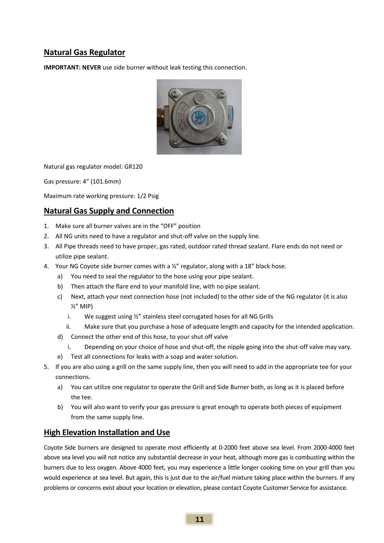#### **Natural Gas Regulator**

**IMPORTANT: NEVER** use side burner without leak testing this connection.



Natural gas regulator model: GR120

Gas pressure: 4" (101.6mm)

Maximum rate working pressure: 1/2 Psig

#### **Natural Gas Supply and Connection**

- 1. Make sure all burner valves are in the "OFF" position
- 2. All NG units need to have a regulator and shut-off valve on the supply line.
- 3. All Pipe threads need to have proper, gas rated, outdoor rated thread sealant. Flare ends do not need or utilize pipe sealant.
- 4. Your NG Coyote side burner comes with a  $\frac{y}{x}$  regulator, along with a 18" black hose.
	- a) You need to seal the regulator to the hose using your pipe sealant.
	- b) Then attach the flare end to your manifold line, with no pipe sealant.
	- c) Next, attach your next connection hose (not included) to the other side of the NG regulator (it is also ½" MIP)
		- i. We suggest using ½" stainless steel corrugated hoses for all NG Grills
	- ii. Make sure that you purchase a hose of adequate length and capacity for the intended application.
	- d) Connect the other end of this hose, to your shut off valve
		- i. Depending on your choice of hose and shut‐off, the nipple going into the shut‐off valve may vary.
	- e) Test all connections for leaks with a soap and water solution.
- 5. If you are also using a grill on the same supply line, then you will need to add in the appropriate tee for your connections.
	- a) You can utilize one regulator to operate the Grill and Side Burner both, as long as it is placed before the tee.
	- b) You will also want to verify your gas pressure is great enough to operate both pieces of equipment from the same supply line.

#### **High Elevation Installation and Use**

Coyote Side burners are designed to operate most efficiently at 0‐2000 feet above sea level. From 2000‐4000 feet above sea level you will not notice any substantial decrease in your heat, although more gas is combusting within the burners due to less oxygen. Above 4000 feet, you may experience a little longer cooking time on your grill than you would experience at sea level. But again, this is just due to the air/fuel mixture taking place within the burners. If any problems or concerns exist about your location or elevation, please contact Coyote Customer Service for assistance.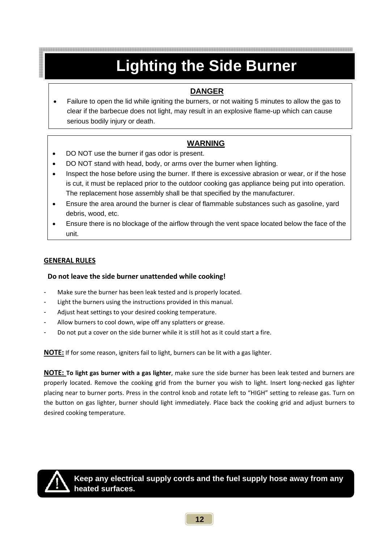## **Lighting the Side Burner**

#### **DANGER**

• Failure to open the lid while igniting the burners, or not waiting 5 minutes to allow the gas to clear if the barbecue does not light, may result in an explosive flame-up which can cause serious bodily injury or death.

#### **WARNING**

- DO NOT use the burner if gas odor is present.
- DO NOT stand with head, body, or arms over the burner when lighting.
- Inspect the hose before using the burner. If there is excessive abrasion or wear, or if the hose is cut, it must be replaced prior to the outdoor cooking gas appliance being put into operation. The replacement hose assembly shall be that specified by the manufacturer.
- Ensure the area around the burner is clear of flammable substances such as gasoline, yard debris, wood, etc.
- Ensure there is no blockage of the airflow through the vent space located below the face of the unit.

#### **GENERAL RULES**

#### **Do not leave the side burner unattended while cooking!**

- Make sure the burner has been leak tested and is properly located.
- Light the burners using the instructions provided in this manual.
- Adjust heat settings to your desired cooking temperature.
- Allow burners to cool down, wipe off any splatters or grease.
- Do not put a cover on the side burner while it is still hot as it could start a fire.

**NOTE:** If for some reason, igniters fail to light, burners can be lit with a gas lighter.

**NOTE: To light gas burner with a gas lighter**, make sure the side burner has been leak tested and burners are properly located. Remove the cooking grid from the burner you wish to light. Insert long‐necked gas lighter placing near to burner ports. Press in the control knob and rotate left to "HIGH" setting to release gas. Turn on the button on gas lighter, burner should light immediately. Place back the cooking grid and adjust burners to desired cooking temperature.



**Keep any electrical supply cords and the fuel supply hose away from any heated surfaces.**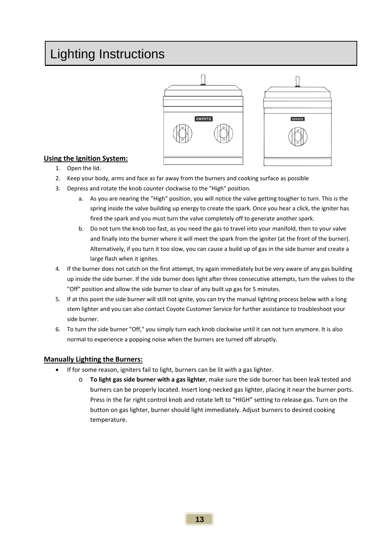## Lighting Instructions





#### **Using the Ignition System:**

- 1. Open the lid.
- 2. Keep your body, arms and face as far away from the burners and cooking surface as possible
- 3. Depress and rotate the knob counter clockwise to the "High" position.
	- a. As you are nearing the "High" position, you will notice the valve getting tougher to turn. This is the spring inside the valve building up energy to create the spark. Once you hear a click, the igniter has fired the spark and you must turn the valve completely off to generate another spark.
	- b. Do not turn the knob too fast, as you need the gas to travel into your manifold, then to your valve and finally into the burner where it will meet the spark from the igniter (at the front of the burner). Alternatively, if you turn it too slow, you can cause a build up of gas in the side burner and create a large flash when it ignites.
- 4. If the burner does not catch on the first attempt, try again immediately but be very aware of any gas building up inside the side burner. If the side burner does light after three consecutive attempts, turn the valves to the "Off" position and allow the side burner to clear of any built up gas for 5 minutes.
- 5. If at this point the side burner will still not ignite, you can try the manual lighting process below with a long stem lighter and you can also contact Coyote Customer Service for further assistance to troubleshoot your side burner.
- 6. To turn the side burner "Off," you simply turn each knob clockwise until it can not turn anymore. It is also normal to experience a popping noise when the burners are turned off abruptly.

#### **Manually Lighting the Burners:**

- If for some reason, igniters fail to light, burners can be lit with a gas lighter.
	- o **To light gas side burner with a gas lighter**, make sure the side burner has been leak tested and burners can be properly located. Insert long‐necked gas lighter, placing it near the burner ports. Press in the far right control knob and rotate left to "HIGH" setting to release gas. Turn on the button on gas lighter, burner should light immediately. Adjust burners to desired cooking temperature.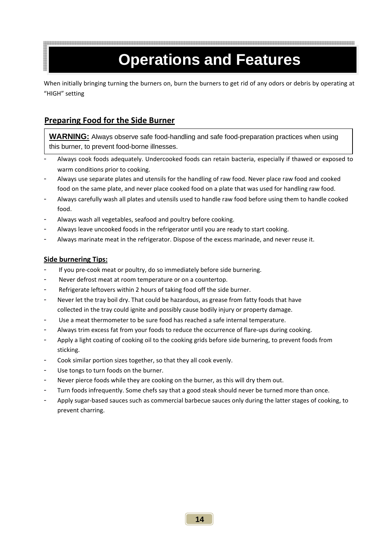## **Operations and Features**

When initially bringing turning the burners on, burn the burners to get rid of any odors or debris by operating at "HIGH" setting

#### **Preparing Food for the Side Burner**

**WARNING:** Always observe safe food-handling and safe food-preparation practices when using this burner, to prevent food-borne illnesses.

- Always cook foods adequately. Undercooked foods can retain bacteria, especially if thawed or exposed to warm conditions prior to cooking.
- Always use separate plates and utensils for the handling of raw food. Never place raw food and cooked food on the same plate, and never place cooked food on a plate that was used for handling raw food.
- Always carefully wash all plates and utensils used to handle raw food before using them to handle cooked food.
- Always wash all vegetables, seafood and poultry before cooking.
- Always leave uncooked foods in the refrigerator until you are ready to start cooking.
- Always marinate meat in the refrigerator. Dispose of the excess marinade, and never reuse it.

#### **Side burnering Tips:**

- If you pre-cook meat or poultry, do so immediately before side burnering.
- Never defrost meat at room temperature or on a countertop.
- Refrigerate leftovers within 2 hours of taking food off the side burner.
- Never let the tray boil dry. That could be hazardous, as grease from fatty foods that have collected in the tray could ignite and possibly cause bodily injury or property damage.
- Use a meat thermometer to be sure food has reached a safe internal temperature.
- Always trim excess fat from your foods to reduce the occurrence of flare-ups during cooking.
- Apply a light coating of cooking oil to the cooking grids before side burnering, to prevent foods from sticking.
- Cook similar portion sizes together, so that they all cook evenly.
- Use tongs to turn foods on the burner.
- Never pierce foods while they are cooking on the burner, as this will dry them out.
- Turn foods infrequently. Some chefs say that a good steak should never be turned more than once.
- Apply sugar-based sauces such as commercial barbecue sauces only during the latter stages of cooking, to prevent charring.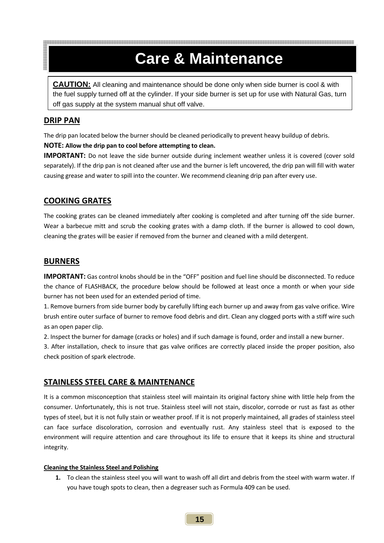## **Care & Maintenance**

**CAUTION:** All cleaning and maintenance should be done only when side burner is cool & with the fuel supply turned off at the cylinder. If your side burner is set up for use with Natural Gas, turn off gas supply at the system manual shut off valve.

#### **DRIP PAN**

The drip pan located below the burner should be cleaned periodically to prevent heavy buildup of debris.

#### **NOTE: Allow the drip pan to cool before attempting to clean.**

**IMPORTANT:** Do not leave the side burner outside during inclement weather unless it is covered (cover sold separately). If the drip pan is not cleaned after use and the burner is left uncovered, the drip pan will fill with water causing grease and water to spill into the counter. We recommend cleaning drip pan after every use.

#### **COOKING GRATES**

The cooking grates can be cleaned immediately after cooking is completed and after turning off the side burner. Wear a barbecue mitt and scrub the cooking grates with a damp cloth. If the burner is allowed to cool down, cleaning the grates will be easier if removed from the burner and cleaned with a mild detergent.

#### **BURNERS**

**IMPORTANT:** Gas control knobs should be in the "OFF" position and fuel line should be disconnected. To reduce the chance of FLASHBACK, the procedure below should be followed at least once a month or when your side burner has not been used for an extended period of time.

1. Remove burners from side burner body by carefully lifting each burner up and away from gas valve orifice. Wire brush entire outer surface of burner to remove food debris and dirt. Clean any clogged ports with a stiff wire such as an open paper clip.

2. Inspect the burner for damage (cracks or holes) and if such damage is found, order and install a new burner.

3. After installation, check to insure that gas valve orifices are correctly placed inside the proper position, also check position of spark electrode.

#### **STAINLESS STEEL CARE & MAINTENANCE**

It is a common misconception that stainless steel will maintain its original factory shine with little help from the consumer. Unfortunately, this is not true. Stainless steel will not stain, discolor, corrode or rust as fast as other types of steel, but it is not fully stain or weather proof. If it is not properly maintained, all grades of stainless steel can face surface discoloration, corrosion and eventually rust. Any stainless steel that is exposed to the environment will require attention and care throughout its life to ensure that it keeps its shine and structural integrity.

#### **Cleaning the Stainless Steel and Polishing**

**1.** To clean the stainless steel you will want to wash off all dirt and debris from the steel with warm water. If you have tough spots to clean, then a degreaser such as Formula 409 can be used.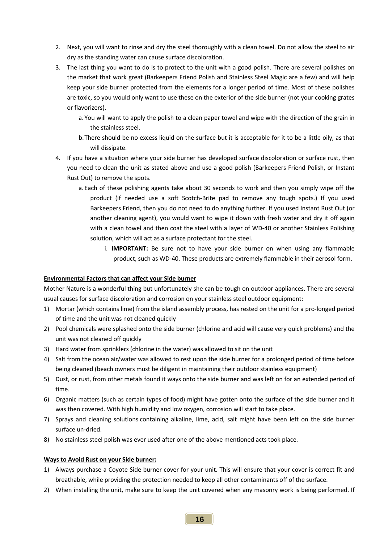- 2. Next, you will want to rinse and dry the steel thoroughly with a clean towel. Do not allow the steel to air dry as the standing water can cause surface discoloration.
- 3. The last thing you want to do is to protect to the unit with a good polish. There are several polishes on the market that work great (Barkeepers Friend Polish and Stainless Steel Magic are a few) and will help keep your side burner protected from the elements for a longer period of time. Most of these polishes are toxic, so you would only want to use these on the exterior of the side burner (not your cooking grates or flavorizers).
	- a. You will want to apply the polish to a clean paper towel and wipe with the direction of the grain in the stainless steel.
	- b.There should be no excess liquid on the surface but it is acceptable for it to be a little oily, as that will dissipate.
- 4. If you have a situation where your side burner has developed surface discoloration or surface rust, then you need to clean the unit as stated above and use a good polish (Barkeepers Friend Polish, or Instant Rust Out) to remove the spots.
	- a. Each of these polishing agents take about 30 seconds to work and then you simply wipe off the product (if needed use a soft Scotch‐Brite pad to remove any tough spots.) If you used Barkeepers Friend, then you do not need to do anything further. If you used Instant Rust Out (or another cleaning agent), you would want to wipe it down with fresh water and dry it off again with a clean towel and then coat the steel with a layer of WD-40 or another Stainless Polishing solution, which will act as a surface protectant for the steel.
		- i. **IMPORTANT:** Be sure not to have your side burner on when using any flammable product, such as WD‐40. These products are extremely flammable in their aerosol form.

#### **Environmental Factors that can affect your Side burner**

Mother Nature is a wonderful thing but unfortunately she can be tough on outdoor appliances. There are several usual causes for surface discoloration and corrosion on your stainless steel outdoor equipment:

- 1) Mortar (which contains lime) from the island assembly process, has rested on the unit for a pro-longed period of time and the unit was not cleaned quickly
- 2) Pool chemicals were splashed onto the side burner (chlorine and acid will cause very quick problems) and the unit was not cleaned off quickly
- 3) Hard water from sprinklers (chlorine in the water) was allowed to sit on the unit
- 4) Salt from the ocean air/water was allowed to rest upon the side burner for a prolonged period of time before being cleaned (beach owners must be diligent in maintaining their outdoor stainless equipment)
- 5) Dust, or rust, from other metals found it ways onto the side burner and was left on for an extended period of time.
- 6) Organic matters (such as certain types of food) might have gotten onto the surface of the side burner and it was then covered. With high humidity and low oxygen, corrosion will start to take place.
- 7) Sprays and cleaning solutions containing alkaline, lime, acid, salt might have been left on the side burner surface un‐dried.
- 8) No stainless steel polish was ever used after one of the above mentioned acts took place.

#### **Ways to Avoid Rust on your Side burner:**

- 1) Always purchase a Coyote Side burner cover for your unit. This will ensure that your cover is correct fit and breathable, while providing the protection needed to keep all other contaminants off of the surface.
- 2) When installing the unit, make sure to keep the unit covered when any masonry work is being performed. If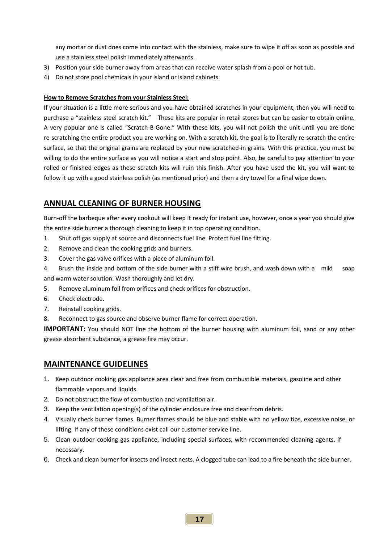any mortar or dust does come into contact with the stainless, make sure to wipe it off as soon as possible and use a stainless steel polish immediately afterwards.

- 3) Position your side burner away from areas that can receive water splash from a pool or hot tub.
- 4) Do not store pool chemicals in your island or island cabinets.

#### **How to Remove Scratches from your Stainless Steel:**

If your situation is a little more serious and you have obtained scratches in your equipment, then you will need to purchase a "stainless steel scratch kit." These kits are popular in retail stores but can be easier to obtain online. A very popular one is called "Scratch‐B‐Gone." With these kits, you will not polish the unit until you are done re-scratching the entire product you are working on. With a scratch kit, the goal is to literally re-scratch the entire surface, so that the original grains are replaced by your new scratched-in grains. With this practice, you must be willing to do the entire surface as you will notice a start and stop point. Also, be careful to pay attention to your rolled or finished edges as these scratch kits will ruin this finish. After you have used the kit, you will want to follow it up with a good stainless polish (as mentioned prior) and then a dry towel for a final wipe down.

#### **ANNUAL CLEANING OF BURNER HOUSING**

Burn-off the barbeque after every cookout will keep it ready for instant use, however, once a year you should give the entire side burner a thorough cleaning to keep it in top operating condition.

- 1. Shut off gas supply at source and disconnects fuel line. Protect fuel line fitting.
- 2. Remove and clean the cooking grids and burners.
- 3. Cover the gas valve orifices with a piece of aluminum foil.
- 4. Brush the inside and bottom of the side burner with a stiff wire brush, and wash down with a mild soap and warm water solution. Wash thoroughly and let dry.
- 5. Remove aluminum foil from orifices and check orifices for obstruction.
- 6. Check electrode.
- 7. Reinstall cooking grids.
- 8. Reconnect to gas source and observe burner flame for correct operation.

**IMPORTANT:** You should NOT line the bottom of the burner housing with aluminum foil, sand or any other grease absorbent substance, a grease fire may occur.

#### **MAINTENANCE GUIDELINES**

- 1. Keep outdoor cooking gas appliance area clear and free from combustible materials, gasoline and other flammable vapors and liquids.
- 2. Do not obstruct the flow of combustion and ventilation air.
- 3. Keep the ventilation opening(s) of the cylinder enclosure free and clear from debris.
- 4. Visually check burner flames. Burner flames should be blue and stable with no yellow tips, excessive noise, or lifting. If any of these conditions exist call our customer service line.
- 5. Clean outdoor cooking gas appliance, including special surfaces, with recommended cleaning agents, if necessary.
- 6. Check and clean burner for insects and insect nests. A clogged tube can lead to a fire beneath the side burner.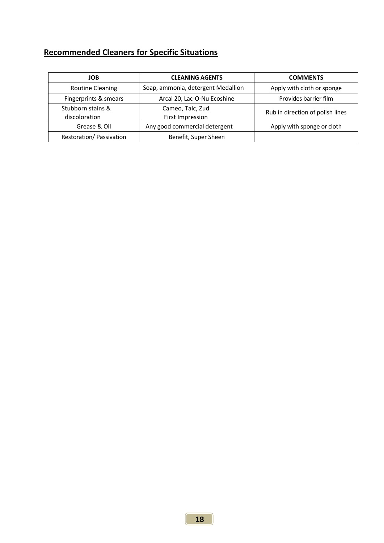### **Recommended Cleaners for Specific Situations**

| <b>JOB</b>                         | <b>CLEANING AGENTS</b>               | <b>COMMENTS</b>                  |  |  |
|------------------------------------|--------------------------------------|----------------------------------|--|--|
| <b>Routine Cleaning</b>            | Soap, ammonia, detergent Medallion   | Apply with cloth or sponge       |  |  |
| Fingerprints & smears              | Arcal 20, Lac-O-Nu Ecoshine          | Provides barrier film            |  |  |
| Stubborn stains &<br>discoloration | Cameo, Talc, Zud<br>First Impression | Rub in direction of polish lines |  |  |
| Grease & Oil                       | Any good commercial detergent        | Apply with sponge or cloth       |  |  |
| Restoration/ Passivation           | Benefit, Super Sheen                 |                                  |  |  |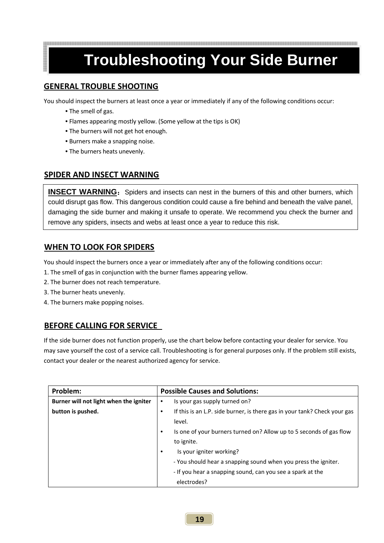## **Troubleshooting Your Side Burner**

#### **GENERAL TROUBLE SHOOTING**

You should inspect the burners at least once a year or immediately if any of the following conditions occur:

- The smell of gas.
- Flames appearing mostly yellow. (Some yellow at the tips is OK)
- The burners will not get hot enough.
- Burners make a snapping noise.
- The burners heats unevenly.

#### **SPIDER AND INSECT WARNING**

**INSECT WARNING:** Spiders and insects can nest in the burners of this and other burners, which could disrupt gas flow. This dangerous condition could cause a fire behind and beneath the valve panel, damaging the side burner and making it unsafe to operate. We recommend you check the burner and remove any spiders, insects and webs at least once a year to reduce this risk.

#### **WHEN TO LOOK FOR SPIDERS**

You should inspect the burners once a year or immediately after any of the following conditions occur:

- 1. The smell of gas in conjunction with the burner flames appearing yellow.
- 2. The burner does not reach temperature.
- 3. The burner heats unevenly.
- 4. The burners make popping noises.

#### **BEFORE CALLING FOR SERVICE**

If the side burner does not function properly, use the chart below before contacting your dealer for service. You may save yourself the cost of a service call. Troubleshooting is for general purposes only. If the problem still exists, contact your dealer or the nearest authorized agency for service.

| Problem:                               | <b>Possible Causes and Solutions:</b>                                            |  |  |  |
|----------------------------------------|----------------------------------------------------------------------------------|--|--|--|
| Burner will not light when the igniter | Is your gas supply turned on?<br>$\bullet$                                       |  |  |  |
| button is pushed.                      | If this is an L.P. side burner, is there gas in your tank? Check your gas<br>٠   |  |  |  |
|                                        | level.                                                                           |  |  |  |
|                                        | Is one of your burners turned on? Allow up to 5 seconds of gas flow<br>$\bullet$ |  |  |  |
|                                        | to ignite.                                                                       |  |  |  |
|                                        | Is your igniter working?<br>٠                                                    |  |  |  |
|                                        | - You should hear a snapping sound when you press the igniter.                   |  |  |  |
|                                        | - If you hear a snapping sound, can you see a spark at the                       |  |  |  |
|                                        | electrodes?                                                                      |  |  |  |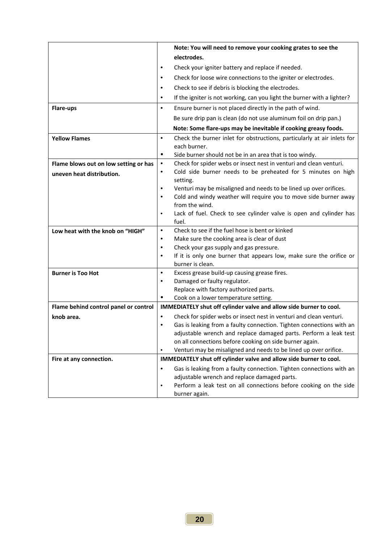|                                       | Note: You will need to remove your cooking grates to see the                                    |  |  |  |  |
|---------------------------------------|-------------------------------------------------------------------------------------------------|--|--|--|--|
|                                       | electrodes.                                                                                     |  |  |  |  |
|                                       | Check your igniter battery and replace if needed.<br>٠                                          |  |  |  |  |
|                                       | Check for loose wire connections to the igniter or electrodes.<br>$\bullet$                     |  |  |  |  |
|                                       | Check to see if debris is blocking the electrodes.<br>٠                                         |  |  |  |  |
|                                       | If the igniter is not working, can you light the burner with a lighter?<br>$\bullet$            |  |  |  |  |
| <b>Flare-ups</b>                      | Ensure burner is not placed directly in the path of wind.<br>$\bullet$                          |  |  |  |  |
|                                       | Be sure drip pan is clean (do not use aluminum foil on drip pan.)                               |  |  |  |  |
|                                       | Note: Some flare-ups may be inevitable if cooking greasy foods.                                 |  |  |  |  |
| <b>Yellow Flames</b>                  | $\bullet$<br>Check the burner inlet for obstructions, particularly at air inlets for            |  |  |  |  |
|                                       | each burner.                                                                                    |  |  |  |  |
|                                       | ٠<br>Side burner should not be in an area that is too windy.                                    |  |  |  |  |
| Flame blows out on low setting or has | Check for spider webs or insect nest in venturi and clean venturi.<br>$\bullet$                 |  |  |  |  |
| uneven heat distribution.             | Cold side burner needs to be preheated for 5 minutes on high<br>$\bullet$                       |  |  |  |  |
|                                       | setting.                                                                                        |  |  |  |  |
|                                       | Venturi may be misaligned and needs to be lined up over orifices.<br>٠<br>$\bullet$             |  |  |  |  |
|                                       | Cold and windy weather will require you to move side burner away<br>from the wind.              |  |  |  |  |
|                                       | Lack of fuel. Check to see cylinder valve is open and cylinder has<br>$\bullet$                 |  |  |  |  |
|                                       | fuel.                                                                                           |  |  |  |  |
| Low heat with the knob on "HIGH"      | Check to see if the fuel hose is bent or kinked<br>$\bullet$                                    |  |  |  |  |
|                                       | Make sure the cooking area is clear of dust<br>$\bullet$                                        |  |  |  |  |
|                                       | Check your gas supply and gas pressure.<br>٠                                                    |  |  |  |  |
|                                       | If it is only one burner that appears low, make sure the orifice or<br>$\bullet$                |  |  |  |  |
|                                       | burner is clean.                                                                                |  |  |  |  |
| <b>Burner is Too Hot</b>              | Excess grease build-up causing grease fires.<br>$\bullet$                                       |  |  |  |  |
|                                       | Damaged or faulty regulator.<br>$\bullet$                                                       |  |  |  |  |
|                                       | Replace with factory authorized parts.<br>٠<br>Cook on a lower temperature setting.             |  |  |  |  |
| Flame behind control panel or control | IMMEDIATELY shut off cylinder valve and allow side burner to cool.                              |  |  |  |  |
| knob area.                            | Check for spider webs or insect nest in venturi and clean venturi.<br>٠                         |  |  |  |  |
|                                       | Gas is leaking from a faulty connection. Tighten connections with an                            |  |  |  |  |
|                                       | adjustable wrench and replace damaged parts. Perform a leak test                                |  |  |  |  |
|                                       | on all connections before cooking on side burner again.                                         |  |  |  |  |
|                                       | Venturi may be misaligned and needs to be lined up over orifice.<br>$\bullet$                   |  |  |  |  |
| Fire at any connection.               | IMMEDIATELY shut off cylinder valve and allow side burner to cool.                              |  |  |  |  |
|                                       | Gas is leaking from a faulty connection. Tighten connections with an<br>٠                       |  |  |  |  |
|                                       | adjustable wrench and replace damaged parts.                                                    |  |  |  |  |
|                                       | Perform a leak test on all connections before cooking on the side<br>$\bullet$<br>burner again. |  |  |  |  |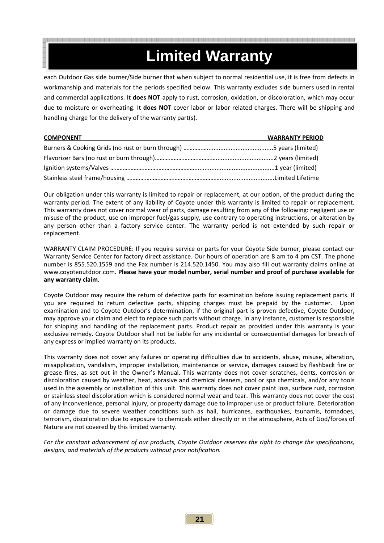## Coyote Outdoor warrants to the original purchaser at the original site of delivery with proof of purchase of **Limited Warranty**

each Outdoor Gas side burner/Side burner that when subject to normal residential use, it is free from defects in workmanship and materials for the periods specified below. This warranty excludes side burners used in rental and commercial applications. It **does NOT** apply to rust, corrosion, oxidation, or discoloration, which may occur due to moisture or overheating. It **does NOT** cover labor or labor related charges. There will be shipping and handling charge for the delivery of the warranty part(s).

| <u>COMPONENT Laterative and the component of the component of the component of the component of the component of the component of the component of the component of the component of the component of the component of the compo</u> | <b>WARRANTY PERIOD</b> |
|--------------------------------------------------------------------------------------------------------------------------------------------------------------------------------------------------------------------------------------|------------------------|
|                                                                                                                                                                                                                                      |                        |
|                                                                                                                                                                                                                                      |                        |
|                                                                                                                                                                                                                                      |                        |
|                                                                                                                                                                                                                                      |                        |

Our obligation under this warranty is limited to repair or replacement, at our option, of the product during the warranty period. The extent of any liability of Coyote under this warranty is limited to repair or replacement. This warranty does not cover normal wear of parts, damage resulting from any of the following: negligent use or misuse of the product, use on improper fuel/gas supply, use contrary to operating instructions, or alteration by any person other than a factory service center. The warranty period is not extended by such repair or replacement.

WARRANTY CLAIM PROCEDURE: If you require service or parts for your Coyote Side burner, please contact our Warranty Service Center for factory direct assistance. Our hours of operation are 8 am to 4 pm CST. The phone number is 855.520.1559 and the Fax number is 214.520.1450. You may also fill out warranty claims online at www.coyoteoutdoor.com. **Please have your model number, serial number and proof of purchase available for any warranty claim**.

Coyote Outdoor may require the return of defective parts for examination before issuing replacement parts. If you are required to return defective parts, shipping charges must be prepaid by the customer. Upon examination and to Coyote Outdoor's determination, if the original part is proven defective, Coyote Outdoor, may approve your claim and elect to replace such parts without charge. In any instance, customer is responsible for shipping and handling of the replacement parts. Product repair as provided under this warranty is your exclusive remedy. Coyote Outdoor shall not be liable for any incidental or consequential damages for breach of any express or implied warranty on its products.

This warranty does not cover any failures or operating difficulties due to accidents, abuse, misuse, alteration, misapplication, vandalism, improper installation, maintenance or service, damages caused by flashback fire or grease fires, as set out in the Owner's Manual. This warranty does not cover scratches, dents, corrosion or discoloration caused by weather, heat, abrasive and chemical cleaners, pool or spa chemicals, and/or any tools used in the assembly or installation of this unit. This warranty does not cover paint loss, surface rust, corrosion or stainless steel discoloration which is considered normal wear and tear. This warranty does not cover the cost of any inconvenience, personal injury, or property damage due to improper use or product failure. Deterioration or damage due to severe weather conditions such as hail, hurricanes, earthquakes, tsunamis, tornadoes, terrorism, discoloration due to exposure to chemicals either directly or in the atmosphere, Acts of God/forces of Nature are not covered by this limited warranty.

*For the constant advancement of our products, Coyote Outdoor reserves the right to change the specifications, designs, and materials of the products without prior notification.*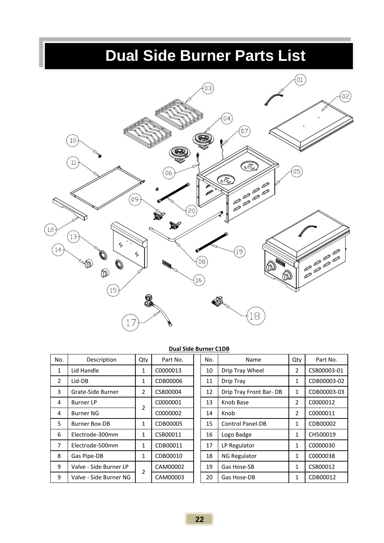## **Dual Side Burner Parts List**



#### **Dual Side Burner C1DB**

| No. | Description            | Qty           | Part No. | No. | Name                    | Qty | Part No.    |
|-----|------------------------|---------------|----------|-----|-------------------------|-----|-------------|
| 1   | Lid Handle             | 1             | C0000013 | 10  | Drip Tray Wheel         | 2   | CSB00003-01 |
| 2   | Lid-DB                 | 1             | CDB00006 | 11  | Drip Tray               | 1   | CDB00003-02 |
| 3   | Grate-Side Burner      | 2             | CSB00004 | 12  | Drip Tray Front Bar-DB  | 1   | CDB00003-03 |
| 4   | <b>Burner LP</b>       | 2             | C0000001 | 13  | Knob Base               | 2   | C0000012    |
| 4   | <b>Burner NG</b>       |               | C0000002 | 14  | Knob                    | 2   | C0000011    |
| 5   | <b>Burner Box-DB</b>   | 1             | CDB00005 | 15  | <b>Control Panel-DB</b> | 1   | CDB00002    |
| 6   | Electrode-300mm        | 1             | CSB00011 | 16  | Logo Badge              | 1   | CH500019    |
| 7   | Electrode-500mm        | 1             | CDB00011 | 17  | LP Regulator            | 1   | C0000030    |
| 8   | Gas Pipe-DB            | 1             | CDB00010 | 18  | <b>NG Regulator</b>     | 1   | C0000038    |
| 9   | Valve - Side Burner LP | $\mathcal{P}$ | CAM00002 | 19  | Gas Hose-SB             | 1   | CSB00012    |
| 9   | Valve - Side Burner NG |               | CAM00003 | 20  | Gas Hose-DB             | 1   | CDB00012    |